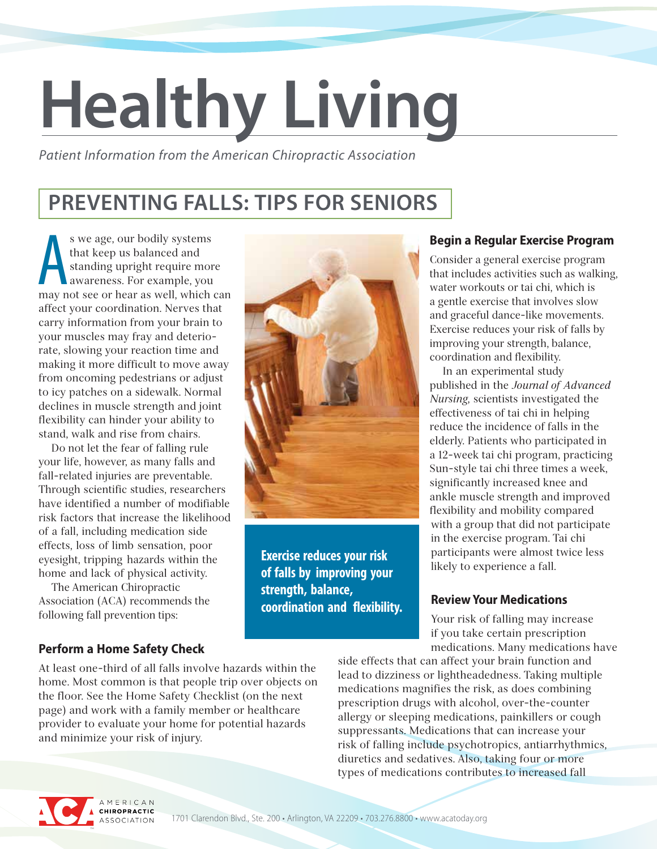# **Healthy Living**

*Patient Information from the American Chiropractic Association*

### **PREVENTING FALLS: TIPS FOR SENIORS**

s we age, our bodily systems<br>that keep us balanced and<br>standing upright require more<br>awareness. For example, you<br>may not see or hear as well, which can s we age, our bodily systems that keep us balanced and standing upright require more awareness. For example, you affect your coordination. Nerves that carry information from your brain to your muscles may fray and deteriorate, slowing your reaction time and making it more difficult to move away from oncoming pedestrians or adjust to icy patches on a sidewalk. Normal declines in muscle strength and joint flexibility can hinder your ability to stand, walk and rise from chairs.

Do not let the fear of falling rule your life, however, as many falls and fall-related injuries are preventable. Through scientific studies, researchers have identified a number of modifiable risk factors that increase the likelihood of a fall, including medication side effects, loss of limb sensation, poor eyesight, tripping hazards within the home and lack of physical activity.

The American Chiropractic Association (ACA) recommends the following fall prevention tips:

#### **Perform a Home Safety Check**

At least one-third of all falls involve hazards within the home. Most common is that people trip over objects on the floor. See the Home Safety Checklist (on the next page) and work with a family member or healthcare provider to evaluate your home for potential hazards and minimize your risk of injury.



**Exercise reduces your risk of falls by improving your strength, balance, coordination and flexibility.**

#### **Begin a Regular Exercise Program**

Consider a general exercise program that includes activities such as walking, water workouts or tai chi, which is a gentle exercise that involves slow and graceful dance-like movements. Exercise reduces your risk of falls by improving your strength, balance, coordination and flexibility.

In an experimental study published in the *Journal of Advanced Nursing*, scientists investigated the effectiveness of tai chi in helping reduce the incidence of falls in the elderly. Patients who participated in a 12-week tai chi program, practicing Sun-style tai chi three times a week, significantly increased knee and ankle muscle strength and improved flexibility and mobility compared with a group that did not participate in the exercise program. Tai chi participants were almost twice less likely to experience a fall.

#### **Review Your Medications**

Your risk of falling may increase if you take certain prescription medications. Many medications have

side effects that can affect your brain function and lead to dizziness or lightheadedness. Taking multiple medications magnifies the risk, as does combining prescription drugs with alcohol, over-the-counter allergy or sleeping medications, painkillers or cough suppressants. Medications that can increase your risk of falling include psychotropics, antiarrhythmics, diuretics and sedatives. Also, taking four or more types of medications contributes to increased fall